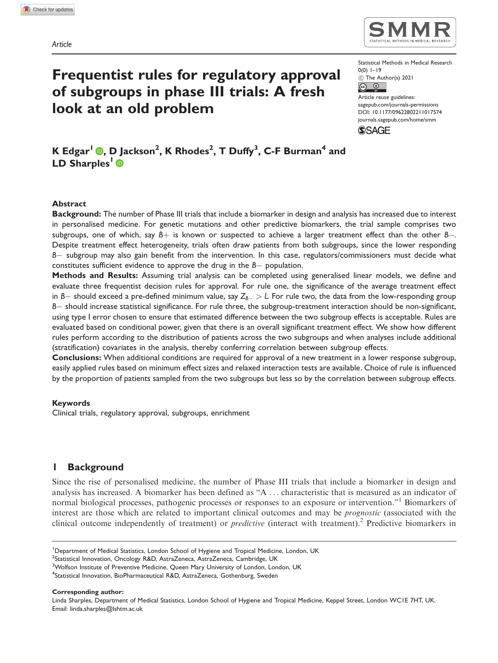

Statistical Methods in Medical Research 0(0) 1–19

C The Author(s) 2021  $\boxed{6}$ 

Article reuse guidelines: [sagepub.com/journals-permissions](http://uk.sagepub.com/en-gb/journals-permissions) [DOI: 10.1177/09622802211017574](http://dx.doi.org/10.1177/09622802211017574) <journals.sagepub.com/home/smm>



<code>KEdgar $^1$ O</code>[,](https://orcid.org/0000-0002-9954-5531) <code>D</code> Jackson $^2$ , <code>KRhodes $^2$ , <code>TDuffy $^3$ , C-FBurman $^4$  and</code></code> LD Sharples<sup>1</sup>

Frequentist rules for regulatory approval

of subgroups in phase III trials: A fresh

look at an old problem

#### Abstract

**Background:** The number of Phase III trials that include a biomarker in design and analysis has increased due to interest in personalised medicine. For genetic mutations and other predictive biomarkers, the trial sample comprises two subgroups, one of which, say  $B+$  is known or suspected to achieve a larger treatment effect than the other  $B-$ . Despite treatment effect heterogeneity, trials often draw patients from both subgroups, since the lower responding B- subgroup may also gain benefit from the intervention. In this case, regulators/commissioners must decide what constitutes sufficient evidence to approve the drug in the B- population.

Methods and Results: Assuming trial analysis can be completed using generalised linear models, we define and evaluate three frequentist decision rules for approval. For rule one, the significance of the average treatment effect in B— should exceed a pre-defined minimum value, say  $Z_{B-}>$  L. For rule two, the data from the low-responding group B- should increase statistical significance. For rule three, the subgroup-treatment interaction should be non-significant, using type I error chosen to ensure that estimated difference between the two subgroup effects is acceptable. Rules are evaluated based on conditional power, given that there is an overall significant treatment effect. We show how different rules perform according to the distribution of patients across the two subgroups and when analyses include additional (stratification) covariates in the analysis, thereby conferring correlation between subgroup effects.

Conclusions: When additional conditions are required for approval of a new treatment in a lower response subgroup, easily applied rules based on minimum effect sizes and relaxed interaction tests are available. Choice of rule is influenced by the proportion of patients sampled from the two subgroups but less so by the correlation between subgroup effects.

#### Keywords

Clinical trials, regulatory approval, subgroups, enrichment

## 1 Background

Since the rise of personalised medicine, the number of Phase III trials that include a biomarker in design and analysis has increased. A biomarker has been defined as "A ... characteristic that is measured as an indicator of normal biological processes, pathogenic processes or responses to an exposure or intervention."1 Biomarkers of interest are those which are related to important clinical outcomes and may be prognostic (associated with the clinical outcome independently of treatment) or *predictive* (interact with treatment).<sup>2</sup> Predictive biomarkers in

Corresponding author:

Linda Sharples, Department of Medical Statistics, London School of Hygiene and Tropical Medicine, Keppel Street, London WC1E 7HT, UK. Email: [linda.sharples@lshtm.ac.uk](mailto:linda.sharples@lshtm.ac.uk)

<sup>&</sup>lt;sup>1</sup>Department of Medical Statistics, London School of Hygiene and Tropical Medicine, London, UK

<sup>&</sup>lt;sup>2</sup>Statistical Innovation, Oncology R&D, AstraZeneca, AstraZeneca, Cambridge, UK

<sup>&</sup>lt;sup>3</sup>Wolfson Institute of Preventive Medicine, Queen Mary University of London, London, UK

<sup>&</sup>lt;sup>4</sup>Statistical Innovation, BioPharmaceutical R&D, AstraZeneca, Gothenburg, Sweden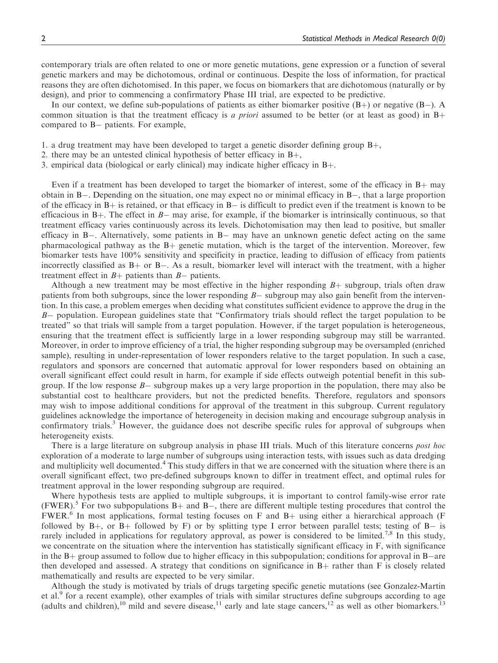contemporary trials are often related to one or more genetic mutations, gene expression or a function of several genetic markers and may be dichotomous, ordinal or continuous. Despite the loss of information, for practical reasons they are often dichotomised. In this paper, we focus on biomarkers that are dichotomous (naturally or by design), and prior to commencing a confirmatory Phase III trial, are expected to be predictive.

In our context, we define sub-populations of patients as either biomarker positive  $(B+)$  or negative  $(B-)$ . A common situation is that the treatment efficacy is a priori assumed to be better (or at least as good) in  $B+$ compared to B- patients. For example,

- 1. a drug treatment may have been developed to target a genetic disorder defining group  $B_{+}$ ,
- 2. there may be an untested clinical hypothesis of better efficacy in  $B+$ ,
- 3. empirical data (biological or early clinical) may indicate higher efficacy in  $B_{+}$ .

Even if a treatment has been developed to target the biomarker of interest, some of the efficacy in  $B+$  may obtain in B-. Depending on the situation, one may expect no or minimal efficacy in B-, that a large proportion of the efficacy in  $B+$  is retained, or that efficacy in  $B-$  is difficult to predict even if the treatment is known to be efficacious in B+. The effect in  $B-$  may arise, for example, if the biomarker is intrinsically continuous, so that treatment efficacy varies continuously across its levels. Dichotomisation may then lead to positive, but smaller efficacy in B-. Alternatively, some patients in B- may have an unknown genetic defect acting on the same pharmacological pathway as the  $B<sub>+</sub>$  genetic mutation, which is the target of the intervention. Moreover, few biomarker tests have 100% sensitivity and specificity in practice, leading to diffusion of efficacy from patients incorrectly classified as  $B+$  or  $B-$ . As a result, biomarker level will interact with the treatment, with a higher treatment effect in  $B+$  patients than  $B-$  patients.

Although a new treatment may be most effective in the higher responding  $B<sub>+</sub>$  subgroup, trials often draw patients from both subgroups, since the lower responding  $B-$  subgroup may also gain benefit from the intervention. In this case, a problem emerges when deciding what constitutes sufficient evidence to approve the drug in the B- population. European guidelines state that "Confirmatory trials should reflect the target population to be treated" so that trials will sample from a target population. However, if the target population is heterogeneous, ensuring that the treatment effect is sufficiently large in a lower responding subgroup may still be warranted. Moreover, in order to improve efficiency of a trial, the higher responding subgroup may be oversampled (enriched sample), resulting in under-representation of lower responders relative to the target population. In such a case, regulators and sponsors are concerned that automatic approval for lower responders based on obtaining an overall significant effect could result in harm, for example if side effects outweigh potential benefit in this subgroup. If the low response  $B-$  subgroup makes up a very large proportion in the population, there may also be substantial cost to healthcare providers, but not the predicted benefits. Therefore, regulators and sponsors may wish to impose additional conditions for approval of the treatment in this subgroup. Current regulatory guidelines acknowledge the importance of heterogeneity in decision making and encourage subgroup analysis in confirmatory trials.<sup>3</sup> However, the guidance does not describe specific rules for approval of subgroups when heterogeneity exists.

There is a large literature on subgroup analysis in phase III trials. Much of this literature concerns post hoc exploration of a moderate to large number of subgroups using interaction tests, with issues such as data dredging and multiplicity well documented.<sup>4</sup> This study differs in that we are concerned with the situation where there is an overall significant effect, two pre-defined subgroups known to differ in treatment effect, and optimal rules for treatment approval in the lower responding subgroup are required.

Where hypothesis tests are applied to multiple subgroups, it is important to control family-wise error rate (FWER).<sup>5</sup> For two subpopulations B+ and B-, there are different multiple testing procedures that control the  $FWER<sup>6</sup>$  In most applications, formal testing focuses on F and B+ using either a hierarchical approach (F followed by B+, or B+ followed by F) or by splitting type I error between parallel tests; testing of B- is rarely included in applications for regulatory approval, as power is considered to be limited.<sup>7,8</sup> In this study, we concentrate on the situation where the intervention has statistically significant efficacy in F, with significance in the  $B+$  group assumed to follow due to higher efficacy in this subpopulation; conditions for approval in  $B$ -are then developed and assessed. A strategy that conditions on significance in  $B+$  rather than F is closely related mathematically and results are expected to be very similar.

Although the study is motivated by trials of drugs targeting specific genetic mutations (see Gonzalez-Martin et al.<sup>9</sup> for a recent example), other examples of trials with similar structures define subgroups according to age (adults and children),<sup>10</sup> mild and severe disease,<sup>11</sup> early and late stage cancers,<sup>12</sup> as well as other biomarkers.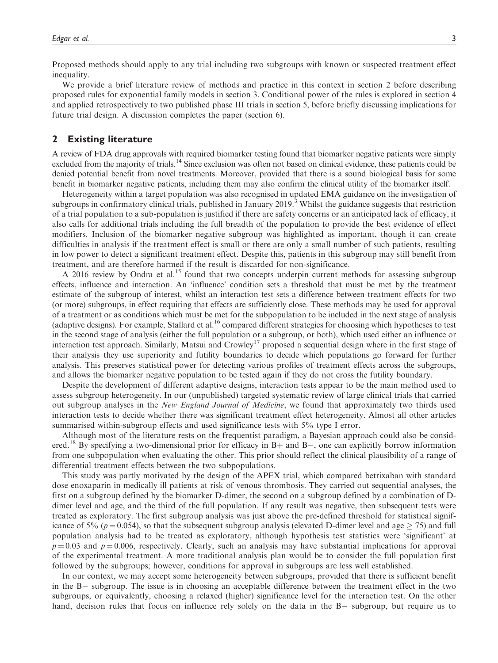Proposed methods should apply to any trial including two subgroups with known or suspected treatment effect inequality.

We provide a brief literature review of methods and practice in this context in section 2 before describing proposed rules for exponential family models in section 3. Conditional power of the rules is explored in section 4 and applied retrospectively to two published phase III trials in section 5, before briefly discussing implications for future trial design. A discussion completes the paper (section 6).

#### 2 Existing literature

A review of FDA drug approvals with required biomarker testing found that biomarker negative patients were simply excluded from the majority of trials.<sup>14</sup> Since exclusion was often not based on clinical evidence, these patients could be denied potential benefit from novel treatments. Moreover, provided that there is a sound biological basis for some benefit in biomarker negative patients, including them may also confirm the clinical utility of the biomarker itself.

Heterogeneity within a target population was also recognised in updated EMA guidance on the investigation of subgroups in confirmatory clinical trials, published in January  $2019<sup>3</sup>$  Whilst the guidance suggests that restriction of a trial population to a sub-population is justified if there are safety concerns or an anticipated lack of efficacy, it also calls for additional trials including the full breadth of the population to provide the best evidence of effect modifiers. Inclusion of the biomarker negative subgroup was highlighted as important, though it can create difficulties in analysis if the treatment effect is small or there are only a small number of such patients, resulting in low power to detect a significant treatment effect. Despite this, patients in this subgroup may still benefit from treatment, and are therefore harmed if the result is discarded for non-significance.

A 2016 review by Ondra et al.<sup>15</sup> found that two concepts underpin current methods for assessing subgroup effects, influence and interaction. An 'influence' condition sets a threshold that must be met by the treatment estimate of the subgroup of interest, whilst an interaction test sets a difference between treatment effects for two (or more) subgroups, in effect requiring that effects are sufficiently close. These methods may be used for approval of a treatment or as conditions which must be met for the subpopulation to be included in the next stage of analysis (adaptive designs). For example, Stallard et al.<sup>16</sup> compared different strategies for choosing which hypotheses to test in the second stage of analysis (either the full population or a subgroup, or both), which used either an influence or interaction test approach. Similarly, Matsui and Crowley<sup>17</sup> proposed a sequential design where in the first stage of their analysis they use superiority and futility boundaries to decide which populations go forward for further analysis. This preserves statistical power for detecting various profiles of treatment effects across the subgroups, and allows the biomarker negative population to be tested again if they do not cross the futility boundary.

Despite the development of different adaptive designs, interaction tests appear to be the main method used to assess subgroup heterogeneity. In our (unpublished) targeted systematic review of large clinical trials that carried out subgroup analyses in the New England Journal of Medicine, we found that approximately two thirds used interaction tests to decide whether there was significant treatment effect heterogeneity. Almost all other articles summarised within-subgroup effects and used significance tests with 5% type I error.

Although most of the literature rests on the frequentist paradigm, a Bayesian approach could also be considered.<sup>18</sup> By specifying a two-dimensional prior for efficacy in B+ and B-, one can explicitly borrow information from one subpopulation when evaluating the other. This prior should reflect the clinical plausibility of a range of differential treatment effects between the two subpopulations.

This study was partly motivated by the design of the APEX trial, which compared betrixaban with standard dose enoxaparin in medically ill patients at risk of venous thrombosis. They carried out sequential analyses, the first on a subgroup defined by the biomarker D-dimer, the second on a subgroup defined by a combination of Ddimer level and age, and the third of the full population. If any result was negative, then subsequent tests were treated as exploratory. The first subgroup analysis was just above the pre-defined threshold for statistical significance of 5% ( $p = 0.054$ ), so that the subsequent subgroup analysis (elevated D-dimer level and age  $\geq$  75) and full population analysis had to be treated as exploratory, although hypothesis test statistics were 'significant' at  $p = 0.03$  and  $p = 0.006$ , respectively. Clearly, such an analysis may have substantial implications for approval of the experimental treatment. A more traditional analysis plan would be to consider the full population first followed by the subgroups; however, conditions for approval in subgroups are less well established.

In our context, we may accept some heterogeneity between subgroups, provided that there is sufficient benefit in the B- subgroup. The issue is in choosing an acceptable difference between the treatment effect in the two subgroups, or equivalently, choosing a relaxed (higher) significance level for the interaction test. On the other hand, decision rules that focus on influence rely solely on the data in the B- subgroup, but require us to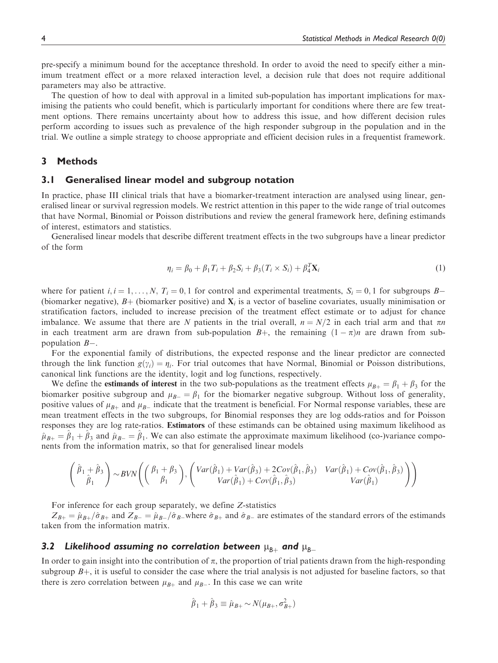pre-specify a minimum bound for the acceptance threshold. In order to avoid the need to specify either a minimum treatment effect or a more relaxed interaction level, a decision rule that does not require additional parameters may also be attractive.

The question of how to deal with approval in a limited sub-population has important implications for maximising the patients who could benefit, which is particularly important for conditions where there are few treatment options. There remains uncertainty about how to address this issue, and how different decision rules perform according to issues such as prevalence of the high responder subgroup in the population and in the trial. We outline a simple strategy to choose appropriate and efficient decision rules in a frequentist framework.

## 3 Methods

#### 3.1 Generalised linear model and subgroup notation

In practice, phase III clinical trials that have a biomarker-treatment interaction are analysed using linear, generalised linear or survival regression models. We restrict attention in this paper to the wide range of trial outcomes that have Normal, Binomial or Poisson distributions and review the general framework here, defining estimands of interest, estimators and statistics.

Generalised linear models that describe different treatment effects in the two subgroups have a linear predictor of the form

$$
\eta_i = \beta_0 + \beta_1 T_i + \beta_2 S_i + \beta_3 (T_i \times S_i) + \beta_4^T \mathbf{X}_i
$$
\n<sup>(1)</sup>

where for patient  $i, i = 1, ..., N$ ,  $T_i = 0, 1$  for control and experimental treatments,  $S_i = 0, 1$  for subgroups  $B$ -(biomarker negative),  $B+$  (biomarker positive) and  $X<sub>i</sub>$  is a vector of baseline covariates, usually minimisation or stratification factors, included to increase precision of the treatment effect estimate or to adjust for chance imbalance. We assume that there are N patients in the trial overall,  $n = N/2$  in each trial arm and that  $\pi n$ in each treatment arm are drawn from sub-population  $B+$ , the remaining  $(1 - \pi)n$  are drawn from sub-<br>population  $B$ population  $B-$ .

For the exponential family of distributions, the expected response and the linear predictor are connected through the link function  $g(\gamma_i) = \eta_i$ . For trial outcomes that have Normal, Binomial or Poisson distributions, canonical link functions are the identity, logit and log functions, respectively.

We define the **estimands of interest** in the two sub-populations as the treatment effects  $\mu_{B+} = \beta_1 + \beta_3$  for the biomarker positive subgroup and  $\mu_{B-} = \beta_1$  for the biomarker negative subgroup. Without loss of generality, positive values of  $\mu$  and  $\mu$  indicate that the treatment is beneficial. For Normal response variables, the positive values of  $\mu_{B+}$  and  $\mu_{B-}$  indicate that the treatment is beneficial. For Normal response variables, these are<br>mean treatment effects in the two subgroups, for Binomial responses they are log odds-ratios and mean treatment effects in the two subgroups, for Binomial responses they are log odds-ratios and for Poisson responses they are log rate-ratios. Estimators of these estimands can be obtained using maximum likelihood as  $\hat{\mu}_{B+} = \hat{\beta}_1 + \hat{\beta}_3$  and  $\hat{\mu}_{B-} = \hat{\beta}_1$ . We can also estimate the approximate maximum likelihood (co-)variance components from the information matrix, so that for generalised linear models

$$
\left(\begin{array}{c}\hat{\beta}_1+\hat{\beta}_3\\\hat{\beta}_1\end{array}\right)\sim BVN\left(\begin{pmatrix}\beta_1+\beta_3\\\beta_1\end{pmatrix},\begin{pmatrix}\nVar(\hat{\beta}_1)+Var(\hat{\beta}_3)+2Cov(\hat{\beta}_1,\hat{\beta}_3) & Var(\hat{\beta}_1)+Cov(\hat{\beta}_1,\hat{\beta}_3) \\
Var(\hat{\beta}_1)+Cov(\hat{\beta}_1,\hat{\beta}_3) & Var(\hat{\beta}_1)\end{pmatrix}\right)
$$

For inference for each group separately, we define Z-statistics

 $Z_{B+} = \hat{\mu}_{B+}/\hat{\sigma}_{B+}$  and  $Z_{B-} = \hat{\mu}_{B-}/\hat{\sigma}_{B-}$  where  $\hat{\sigma}_{B+}$  and  $\hat{\sigma}_{B-}$  are estimates of the standard errors of the estimands taken from the information matrix.

## 3.2 Likelihood assuming no correlation between  $\mu_{B+}$  and  $\mu_{B-}$

In order to gain insight into the contribution of  $\pi$ , the proportion of trial patients drawn from the high-responding subgroup  $B<sub>+</sub>$ , it is useful to consider the case where the trial analysis is not adjusted for baseline factors, so that there is zero correlation between  $\mu_{B+}$  and  $\mu_{B-}$ . In this case we can write

$$
\hat{\beta}_1 + \hat{\beta}_3 \equiv \hat{\mu}_{B+} \sim N(\mu_{B+}, \sigma_{B+}^2)
$$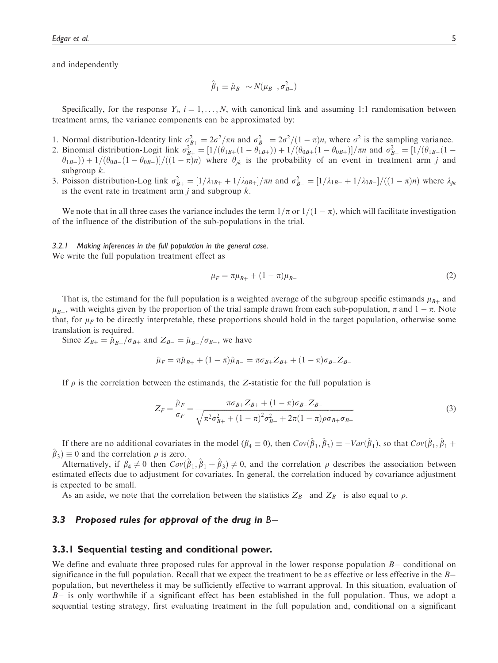and independently

$$
\hat{\beta}_1 \equiv \hat{\mu}_{B-} \sim N(\mu_{B-}, \sigma_{B-}^2)
$$

Specifically, for the response  $Y_i$ ,  $i = 1, \ldots, N$ , with canonical link and assuming 1:1 randomisation between treatment arms, the variance components can be approximated by:

- 1. Normal distribution-Identity link  $\sigma_{B}^2 = 2\sigma^2/\pi n$  and  $\sigma_{B-}^2 = 2\sigma^2/(1-\pi)n$ , where  $\sigma^2$  is the sampling variance.<br>2. Binomial distribution-Logit link  $\sigma^2 = [1/(\theta_{1R})(1-\theta_{1R})) + 1/(\theta_{2R})(1-\theta_{2R}))/\pi n$  and  $\sigma^2 = [1/(\theta_{1$
- 2. Binomial distribution-Logit link  $\sigma_{B+}^2 = [1/(\theta_{1B+}(1-\theta_{1B+})) + 1/(\theta_{0B+}(1-\theta_{0B+}))]/\pi n$  and  $\sigma_{B-}^2 = [1/(\theta_{1B-}(1-\theta_{0B+})) + 1/(\theta_{0B-}(1-\theta_{0B+}))]/(\theta_{1B-}(1-\theta_{0B+}))$  where  $\theta_{1}$  is the probability of an event in treatment arm i  $(\theta_{1B-}) + 1/(\theta_{0B-}(1-\theta_{0B-})]/((1-\pi)n)$  where  $\theta_{jk}$  is the probability of an event in treatment arm j and subgroup  $k$ .
- 3. Poisson distribution-Log link  $\sigma_{B+}^2 = \frac{1}{\lambda_{1B+}} + \frac{1}{\lambda_{0B+}}/\pi n$  and  $\sigma_{B-}^2 = \frac{1}{\lambda_{1B-}} + \frac{1}{\lambda_{0B-}}/((1-\pi)n)$  where  $\lambda_{jk}$  is the event rate in treatment arm *i* and subgroup k is the event rate in treatment arm  $j$  and subgroup  $k$ .

We note that in all three cases the variance includes the term  $1/\pi$  or  $1/(1 - \pi)$ , which will facilitate investigation<br>the influence of the distribution of the sub-populations in the trial of the influence of the distribution of the sub-populations in the trial.

#### 3.2.1 Making inferences in the full population in the general case.

We write the full population treatment effect as

$$
\mu_F = \pi \mu_{B+} + (1 - \pi) \mu_{B-} \tag{2}
$$

That is, the estimand for the full population is a weighted average of the subgroup specific estimands  $\mu_{B+}$  and  $\mu_{B-}$ , with weights given by the proportion of the that sample drawn from each sub-population, *n* and  $1 - n$ . Note<br>that, for  $\mu_F$  to be directly interpretable, these proportions should hold in the target population, o , with weights given by the proportion of the trial sample drawn from each sub-population,  $\pi$  and  $1 - \pi$ . Note translation is required.

Since  $Z_{B+} = \hat{\mu}_{B+}/\sigma_{B+}$  and  $Z_{B-} = \hat{\mu}_{B-}/\sigma_{B-}$ , we have

$$
\hat{\mu}_F = \pi \hat{\mu}_{B+} + (1 - \pi) \hat{\mu}_{B-} = \pi \sigma_{B+} Z_{B+} + (1 - \pi) \sigma_{B-} Z_{B-}
$$

If  $\rho$  is the correlation between the estimands, the Z-statistic for the full population is

$$
Z_F = \frac{\hat{\mu}_F}{\sigma_F} = \frac{\pi \sigma_{B+} Z_{B+} + (1 - \pi) \sigma_{B-} Z_{B-}}{\sqrt{\pi^2 \sigma_{B+}^2 + (1 - \pi)^2 \sigma_{B-}^2 + 2\pi (1 - \pi) \rho \sigma_{B+} \sigma_{B-}}}
$$
(3)

If there are no additional covariates in the model  $(\beta_4 \equiv 0)$ , then  $Cov(\hat{\beta}_1, \hat{\beta}_3) \equiv -Var(\hat{\beta}_1)$ , so that  $Cov(\hat{\beta}_1, \hat{\beta}_1 + \hat{\beta}_2) \equiv 0$  and the correlation  $\rho$  is zero.  $\beta_3$  = 0 and the correlation  $\rho$  is zero.

Alternatively, if  $\beta_4 \neq 0$  then  $Cov(\hat{\beta}_1, \hat{\beta}_1 + \hat{\beta}_3) \neq 0$ , and the correlation  $\rho$  describes the association between estimated effects due to adjustment for covariates. In general, the correlation induced by covariance adjustment is expected to be small.

As an aside, we note that the correlation between the statistics  $Z_{B+}$  and  $Z_{B-}$  is also equal to  $\rho$ .

# 3.3 Proposed rules for approval of the drug in  $\mathtt{B}-$

#### 3.3.1 Sequential testing and conditional power.

We define and evaluate three proposed rules for approval in the lower response population  $B-$  conditional on significance in the full population. Recall that we expect the treatment to be as effective or less effective in the  $B$ population, but nevertheless it may be sufficiently effective to warrant approval. In this situation, evaluation of B- is only worthwhile if a significant effect has been established in the full population. Thus, we adopt a sequential testing strategy, first evaluating treatment in the full population and, conditional on a significant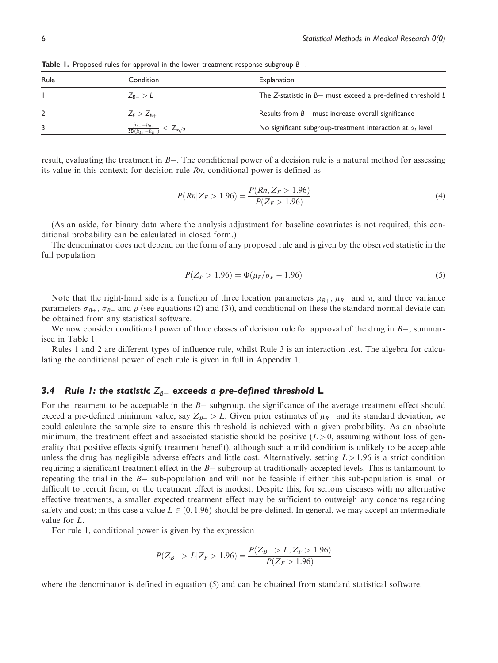| <b>Table 1.</b> Proposed rules for approval in the lower treatment response subgroup $B$ - |                |                                                                 |  |  |  |
|--------------------------------------------------------------------------------------------|----------------|-----------------------------------------------------------------|--|--|--|
| Rule                                                                                       | Condition      | Explanation                                                     |  |  |  |
|                                                                                            | $Z_{R-}>L$     | The Z-statistic in $B-$ must exceed a pre-defined threshold $L$ |  |  |  |
|                                                                                            | $Z_F > Z_{B+}$ | Results from $B-$ must increase overall significance            |  |  |  |

 $\frac{\hat{\mu}_{B-}}{-\hat{\mu}}$  $\mathsf{SD}(\hat{\mu}_{\mathsf{B}+} \hat{\mu}_{\mathsf{B}-}$ 

result, evaluating the treatment in B-. The conditional power of a decision rule is a natural method for assessing its value in this context; for decision rule Rn, conditional power is defined as

$$
P(Rn|Z_F > 1.96) = \frac{P(Rn, Z_F > 1.96)}{P(Z_F > 1.96)}
$$
\n<sup>(4)</sup>

 $\langle Z_{\alpha/2} \rangle$  No significant subgroup-treatment interaction at  $\alpha_1$  level

(As an aside, for binary data where the analysis adjustment for baseline covariates is not required, this conditional probability can be calculated in closed form.)

The denominator does not depend on the form of any proposed rule and is given by the observed statistic in the full population

$$
P(Z_F > 1.96) = \Phi(\mu_F/\sigma_F - 1.96)
$$
\n(5)

Note that the right-hand side is a function of three location parameters  $\mu_{B+}$ ,  $\mu_{B-}$  and  $\pi$ , and three variance<br>rameters  $\sigma_{\rm B}$ ,  $\sigma_{\rm B}$ , and  $\rho$  (see equations (2) and (3)) and conditional on these the sta parameters  $\sigma_{B+}$ ,  $\sigma_{B-}$  and  $\rho$  (see equations (2) and (3)), and conditional on these the standard normal deviate can<br>be obtained from any statistical software be obtained from any statistical software.

We now consider conditional power of three classes of decision rule for approval of the drug in  $B-$ , summarised in Table 1.

Rules 1 and 2 are different types of influence rule, whilst Rule 3 is an interaction test. The algebra for calculating the conditional power of each rule is given in full in Appendix 1.

# 3.4  $\,$  Rule 1: the statistic  $Z_{\rm B-}\,$  exceeds a pre-defined threshold  $\,$   $\,$

For the treatment to be acceptable in the  $B-$  subgroup, the significance of the average treatment effect should exceed a pre-defined minimum value, say  $Z_{B-} > L$ . Given prior estimates of  $\mu_{B-}$  and its standard deviation, we<br>could calculate the sample size to ensure this threshold is achieved with a given probability. As an abso could calculate the sample size to ensure this threshold is achieved with a given probability. As an absolute minimum, the treatment effect and associated statistic should be positive  $(L > 0$ , assuming without loss of generality that positive effects signify treatment benefit), although such a mild condition is unlikely to be acceptable unless the drug has negligible adverse effects and little cost. Alternatively, setting  $L > 1.96$  is a strict condition requiring a significant treatment effect in the  $B-$  subgroup at traditionally accepted levels. This is tantamount to repeating the trial in the B- sub-population and will not be feasible if either this sub-population is small or difficult to recruit from, or the treatment effect is modest. Despite this, for serious diseases with no alternative effective treatments, a smaller expected treatment effect may be sufficient to outweigh any concerns regarding safety and cost; in this case a value  $L \in (0, 1.96)$  should be pre-defined. In general, we may accept an intermediate value for L.

For rule 1, conditional power is given by the expression

$$
P(Z_{B-} > L | Z_F > 1.96) = \frac{P(Z_{B-} > L, Z_F > 1.96)}{P(Z_F > 1.96)}
$$

where the denominator is defined in equation (5) and can be obtained from standard statistical software.

3  $\frac{\hat{\mu}_{B+} -}{SD(\hat{\mu}_{B+})}$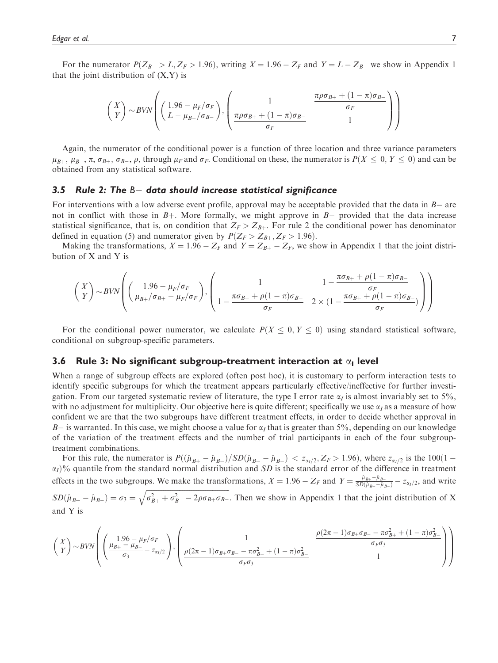For the numerator  $P(Z_{B-} > L, Z_F > 1.96)$ , writing  $X = 1.96 - Z_F$  and  $Y = L - Z_{B-}$  we show in Appendix 1 that the joint distribution of  $(X, Y)$  is

$$
\begin{pmatrix} X \\ Y \end{pmatrix} \sim \text{BVN} \left( \begin{pmatrix} 1.96 - \mu_F / \sigma_F \\ L - \mu_B / \sigma_B - \end{pmatrix}, \begin{pmatrix} 1 & \frac{\pi \rho \sigma_{B+} + (1 - \pi) \sigma_{B-}}{\sigma_F} \\ \frac{\pi \rho \sigma_{B+} + (1 - \pi) \sigma_{B-}}{\sigma_F} & 1 \end{pmatrix} \right)
$$

Again, the numerator of the conditional power is a function of three location and three variance parameters  $\mu_{B_+}, \mu_{B_-}, \pi, \sigma_{B_+}, \sigma_{B_-}, \rho$ , through  $\mu_F$  and  $\sigma_F$ . Conditional on these, the numerator is  $P(X \le 0, Y \le 0)$  and can be obtained from any statistical software. obtained from any statistical software.

# 3.5  $\,$  Rule 2: The <code>B $-$  data should</code> increase statistical significance

For interventions with a low adverse event profile, approval may be acceptable provided that the data in  $B-$  are not in conflict with those in  $B<sub>+</sub>$ . More formally, we might approve in  $B<sub>-</sub>$  provided that the data increase statistical significance, that is, on condition that  $Z_F > Z_{B+}$ . For rule 2 the conditional power has denominator defined in equation (5) and numerator given by  $P(Z_F > Z_{B+}, Z_F > 1.96)$ .

Making the transformations,  $X = 1.96 - Z_F$  and  $Y = Z_{B+} - Z_F$ , we show in Appendix 1 that the joint distribution of X and Y is

$$
\begin{pmatrix} X \\ Y \end{pmatrix} \sim \text{BVN} \left( \begin{pmatrix} 1.96 - \mu_F/\sigma_F \\ \mu_{B+}/\sigma_{B+} - \mu_F/\sigma_F \end{pmatrix}, \begin{pmatrix} 1 & 1 - \frac{\pi \sigma_{B+} + \rho (1 - \pi) \sigma_{B-}}{\sigma_F} \\ 1 - \frac{\pi \sigma_{B+} + \rho (1 - \pi) \sigma_{B-}}{\sigma_F} & 2 \times (1 - \frac{\pi \sigma_{B+} + \rho (1 - \pi) \sigma_{B-}}{\sigma_F}) \end{pmatrix} \right)
$$

For the conditional power numerator, we calculate  $P(X \le 0, Y \le 0)$  using standard statistical software, conditional on subgroup-specific parameters.

## 3.6 Rule 3: No significant subgroup-treatment interaction at  $\alpha_1$  level

When a range of subgroup effects are explored (often post hoc), it is customary to perform interaction tests to identify specific subgroups for which the treatment appears particularly effective/ineffective for further investigation. From our targeted systematic review of literature, the type I error rate  $\alpha<sub>I</sub>$  is almost invariably set to 5%, with no adjustment for multiplicity. Our objective here is quite different; specifically we use  $\alpha_I$  as a measure of how confident we are that the two subgroups have different treatment effects, in order to decide whether approval in  $B-$  is warranted. In this case, we might choose a value for  $\alpha_I$  that is greater than 5%, depending on our knowledge<br>of the variation of the treatment effects and the number of trial participants in each of the four sub of the variation of the treatment effects and the number of trial participants in each of the four subgrouptreatment combinations.

For this rule, the numerator is  $P((\hat{\mu}_{B+} - \hat{\mu}_{B-})/SD(\hat{\mu}_{B+} - \hat{\mu}_{B-}) < z_{\alpha_1/2}, Z_F > 1.96)$ , where  $z_{\alpha_1/2}$  is the 100(1 –  $\alpha_2$  and 100) and  $\alpha_3$  is the standard error of the difference in treatment  $\alpha_I$ )% quantile from the standard normal distribution and SD is the standard error of the difference in treatment effects in the two subgroups. We make the transformations,  $X = 1.96 - Z_F$  and  $Y = \frac{\hat{\mu}_{B+} - \hat{\mu}_{B-}}{SD(\hat{\mu}_{B+} - \hat{\mu}_{B-})} - z_{\alpha_I/2}$ , and write

 $SD(\hat{\mu}_{B+} - \hat{\mu}_{B-}) = \sigma_3 = \sqrt{\sigma_{B+}^2 + \sigma_{B-}^2 - 2\rho\sigma_{B+}\sigma_{B-}}$ . Then we show in Appendix 1 that the joint distribution of X and Y is

$$
\begin{pmatrix} X \\ Y \end{pmatrix} \sim BVN \left( \begin{pmatrix} 1.96 - \mu_F/\sigma_F \\ \frac{\mu_{B+} - \mu_{B-}}{\sigma_3} - z_{\alpha_1/2} \end{pmatrix}, \begin{pmatrix} 1 & \frac{\rho(2\pi - 1)\sigma_{B+}\sigma_{B-} - \pi\sigma_{B+}^2 + (1 - \pi)\sigma_{B-}^2}{\sigma_F\sigma_3} \\ \frac{\rho(2\pi - 1)\sigma_{B+}\sigma_{B-} - \pi\sigma_{B+}^2 + (1 - \pi)\sigma_{B-}^2}{\sigma_F\sigma_3} & 1 \end{pmatrix} \right)
$$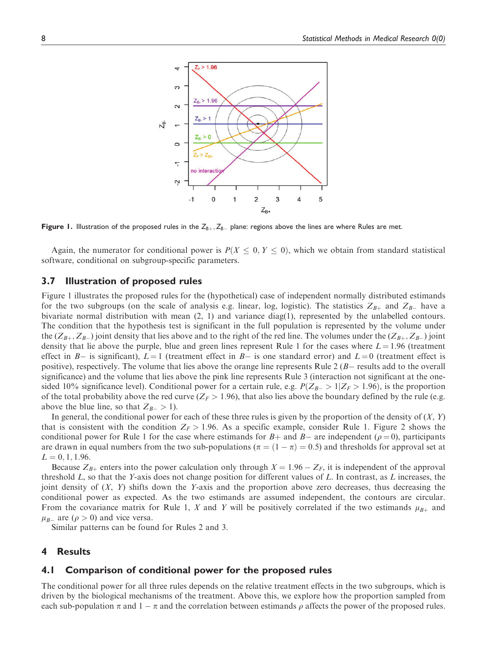

**Figure 1.** Illustration of the proposed rules in the  $Z_{B+}, Z_{B-}$  plane: regions above the lines are where Rules are met.

Again, the numerator for conditional power is  $P(X \leq 0, Y \leq 0)$ , which we obtain from standard statistical software, conditional on subgroup-specific parameters.

## 3.7 Illustration of proposed rules

Figure 1 illustrates the proposed rules for the (hypothetical) case of independent normally distributed estimands for the two subgroups (on the scale of analysis e.g. linear, log, logistic). The statistics  $Z_{B+}$  and  $Z_{B-}$  have a bivariate normal distribution with mean (2, 1) and variance diag(1), represented by the unlabelled contours. The condition that the hypothesis test is significant in the full population is represented by the volume under the  $(Z_{B+}, Z_{B-})$  joint density that lies above and to the right of the red line. The volumes under the  $(Z_{B+}, Z_{B-})$  joint density that lie above the purple, blue and green lines represent Rule 1 for the cases where  $L = 1.96$  (treatment effect in  $B-$  is significant),  $L=1$  (treatment effect in  $B-$  is one standard error) and  $L=0$  (treatment effect is positive), respectively. The volume that lies above the orange line represents Rule  $2 (B -$  results add to the overall significance) and the volume that lies above the pink line represents Rule 3 (interaction not significant at the onesided 10% significance level). Conditional power for a certain rule, e.g.  $P(Z_{B-} > 1 | Z_F > 1.96)$ , is the proportion of the total probability above the red curve ( $Z_F > 1.96$ ), that also lies above the boundary defined by the rule (e.g. above the blue line, so that  $Z_{B-} > 1$ ).

In general, the conditional power for each of these three rules is given by the proportion of the density of  $(X, Y)$ that is consistent with the condition  $Z_F > 1.96$ . As a specific example, consider Rule 1. Figure 2 shows the conditional power for Rule 1 for the case where estimands for  $B+$  and  $B-$  are independent ( $\rho = 0$ ), participants<br>are drawn in equal numbers from the two sub-populations ( $\pi = (1 - \pi) = 0.5$ ) and thresholds for approval se are drawn in equal numbers from the two sub-populations ( $\pi = (1 - \pi) = 0.5$ ) and thresholds for approval set at  $I = 0.1, 1.96$  $L = 0, 1, 1.96.$ 

Because  $Z_{B+}$  enters into the power calculation only through  $X = 1.96 - Z_F$ , it is independent of the approval threshold  $L$ , so that the Y-axis does not change position for different values of  $L$ . In contrast, as  $L$  increases, the joint density of  $(X, Y)$  shifts down the Y-axis and the proportion above zero decreases, thus decreasing the conditional power as expected. As the two estimands are assumed independent, the contours are circular. From the covariance matrix for Rule 1, X and Y will be positively correlated if the two estimands  $\mu_{B+}$  and  $\mu_{B-}$  are ( $\rho > 0$ ) and vice versa.<br>Similar patterns can be four

Similar patterns can be found for Rules 2 and 3.

## 4 Results

#### 4.1 Comparison of conditional power for the proposed rules

The conditional power for all three rules depends on the relative treatment effects in the two subgroups, which is driven by the biological mechanisms of the treatment. Above this, we explore how the proportion sampled from each sub-population  $\pi$  and  $1 - \pi$  and the correlation between estimands  $\rho$  affects the power of the proposed rules.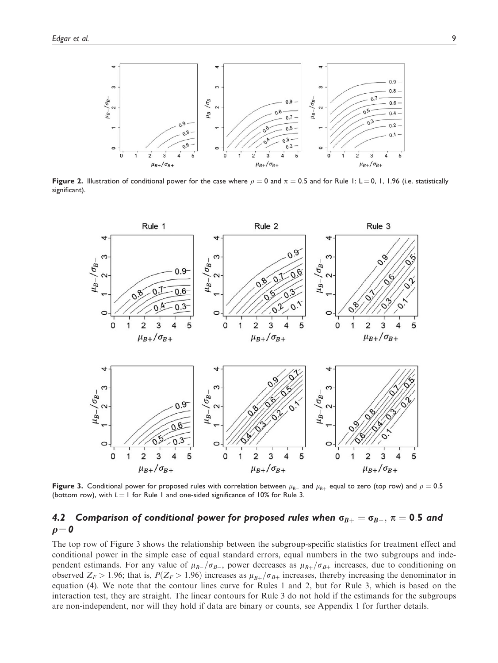

Figure 2. Illustration of conditional power for the case where  $\rho = 0$  and  $\pi = 0.5$  and for Rule 1: L = 0, 1, 1.96 (i.e. statistically significant).



**Figure 3.** Conditional power for proposed rules with correlation between  $\mu_{B-}$  and  $\mu_{B+}$  equal to zero (top row) and  $\rho = 0.5$ <br>(bottom row), with  $I = I$  for Rule 1 and one-sided significance of 10% for Rule 3. (bottom row), with  $L = 1$  for Rule 1 and one-sided significance of 10% for Rule 3.

# 4.2 Comparison of conditional power for proposed rules when  $\sigma_{B+} = \sigma_{B-},\,\pi=0.5$  and  $\rho = 0$

The top row of Figure 3 shows the relationship between the subgroup-specific statistics for treatment effect and conditional power in the simple case of equal standard errors, equal numbers in the two subgroups and independent estimands. For any value of  $\mu_{B-}/\sigma_{B-}$ , power decreases as  $\mu_{B+}/\sigma_{B+}$  increases, due to conditioning on<br>observed  $Z_{\rm B} > 1.96$ ; that is  $P(Z_{\rm B} > 1.96)$  increases as  $\mu_{B+}/\sigma_{B-}$  increases, thereby incr observed  $Z_F > 1.96$ ; that is,  $P(Z_F > 1.96)$  increases as  $\mu_{B+}/\sigma_{B+}$  increases, thereby increasing the denominator in equation (4). We note that the contour lines curve for Rules 1 and 2, but for Rule 3, which is based on the interaction test, they are straight. The linear contours for Rule 3 do not hold if the estimands for the subgroups are non-independent, nor will they hold if data are binary or counts, see Appendix 1 for further details.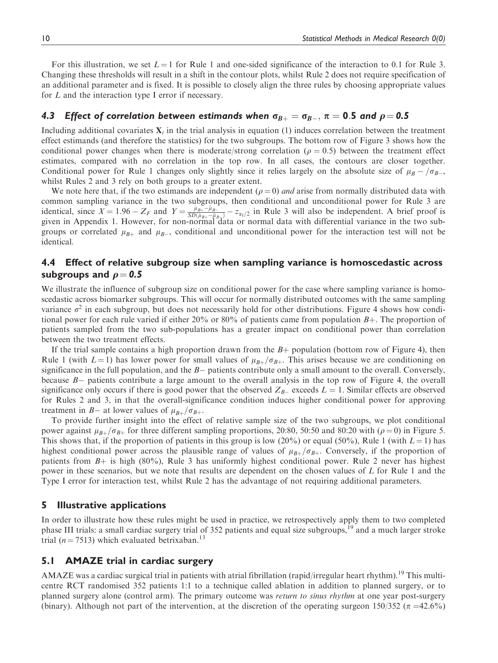For this illustration, we set  $L = 1$  for Rule 1 and one-sided significance of the interaction to 0.1 for Rule 3. Changing these thresholds will result in a shift in the contour plots, whilst Rule 2 does not require specification of an additional parameter and is fixed. It is possible to closely align the three rules by choosing appropriate values for L and the interaction type I error if necessary.

# 4.3  $\,$  Effect of correlation between estimands when  $\sigma_{B+}=\sigma_{B-},\,\pi=$  0.5 and  $\rho\!=$  0.5  $\,$

Including additional covariates  $X_i$  in the trial analysis in equation (1) induces correlation between the treatment effect estimands (and therefore the statistics) for the two subgroups. The bottom row of Figure 3 shows how the conditional power changes when there is moderate/strong correlation ( $\rho = 0.5$ ) between the treatment effect estimates, compared with no correlation in the top row. In all cases, the contours are closer together. Conditional power for Rule 1 changes only slightly since it relies largely on the absolute size of  $\mu_B - / \sigma_{B-}$ , whilst Rules 2 and 3 rely on both groups to a greater extent whilst Rules 2 and 3 rely on both groups to a greater extent.

We note here that, if the two estimands are independent ( $\rho = 0$ ) and arise from normally distributed data with common sampling variance in the two subgroups, then conditional and unconditional power for Rule 3 are identical, since  $X = 1.96 - Z_F$  and  $Y = \frac{\hat{\mu}_{B+} - \hat{\mu}_{B-}}{SD(\hat{\mu}_{B+} - \hat{\mu}_{B-})} - z_{\alpha_I/2}$  in Rule 3 will also be independent. A brief proof is given in Appendix 1. However, for non-normal data or normal data with differentia groups or correlated  $\mu_{B+}$  and  $\mu_{B-}$ , conditional and unconditional power for the interaction test will not be identical identical.

## 4.4 Effect of relative subgroup size when sampling variance is homoscedastic across subgroups and  $\rho = 0.5$

We illustrate the influence of subgroup size on conditional power for the case where sampling variance is homoscedastic across biomarker subgroups. This will occur for normally distributed outcomes with the same sampling variance  $\sigma^2$  in each subgroup, but does not necessarily hold for other distributions. Figure 4 shows how conditional power for each rule varied if either 20% or 80% of patients came from population  $B_{+}$ . The proportion of patients sampled from the two sub-populations has a greater impact on conditional power than correlation between the two treatment effects.

If the trial sample contains a high proportion drawn from the  $B+$  population (bottom row of Figure 4), then Rule 1 (with  $L = 1$ ) has lower power for small values of  $\mu_{B+}/\sigma_{B+}$ . This arises because we are conditioning on significance in the full population, and the  $B-$  patients contribute only a small amount to the overall. Conversely, because *B*- patients contribute a large amount to the overall analysis in the top row of Figure 4, the overall significance only occurs if there is good power that the observed  $Z_{B-}$  exceeds  $L = 1$ . Similar effects are observed for Rules 2 and 3, in that the overall-significance condition induces higher conditional power for approving treatment in B- at lower values of  $\mu_{B+}/\sigma_{B+}$ .<br>To provide further insight into the effect

To provide further insight into the effect of relative sample size of the two subgroups, we plot conditional power against  $\mu_{B+}/\sigma_{B+}$  for three different sampling proportions, 20:80, 50:50 and 80:20 with ( $\rho = 0$ ) in Figure 5. This shows that, if the proportion of patients in this group is low (20%) or equal (50%), Rule 1 (with  $L = 1$ ) has highest conditional power across the plausible range of values of  $\mu_{B+}/\sigma_{B+}$ . Conversely, if the proportion of patients from  $B<sub>+</sub>$  is high (80%), Rule 3 has uniformly highest conditional power. Rule 2 never has highest power in these scenarios, but we note that results are dependent on the chosen values of L for Rule 1 and the Type I error for interaction test, whilst Rule 2 has the advantage of not requiring additional parameters.

#### 5 Illustrative applications

In order to illustrate how these rules might be used in practice, we retrospectively apply them to two completed phase III trials: a small cardiac surgery trial of 352 patients and equal size subgroups,<sup>19</sup> and a much larger stroke trial ( $n = 7513$ ) which evaluated betrixaban.<sup>13</sup>

## 5.1 AMAZE trial in cardiac surgery

AMAZE was a cardiac surgical trial in patients with atrial fibrillation (rapid/irregular heart rhythm).<sup>19</sup> This multicentre RCT randomised 352 patients 1:1 to a technique called ablation in addition to planned surgery, or to planned surgery alone (control arm). The primary outcome was return to sinus rhythm at one year post-surgery (binary). Although not part of the intervention, at the discretion of the operating surgeon  $150/352$  ( $\pi = 42.6\%$ )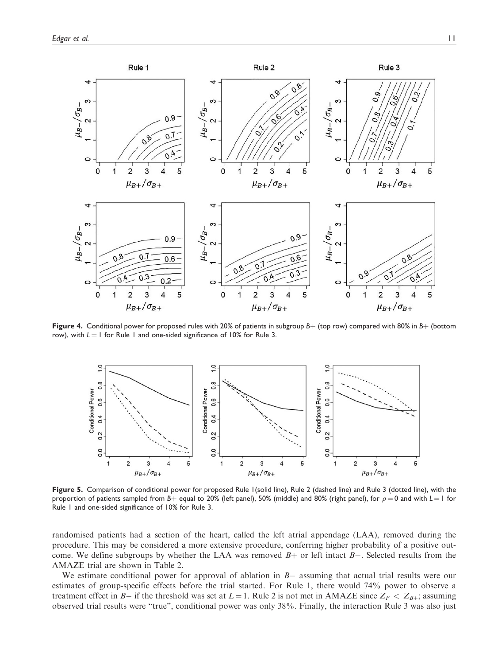

Figure 4. Conditional power for proposed rules with 20% of patients in subgroup  $B+$  (top row) compared with 80% in  $B+$  (bottom row), with  $L = 1$  for Rule 1 and one-sided significance of 10% for Rule 3.



Figure 5. Comparison of conditional power for proposed Rule 1(solid line), Rule 2 (dashed line) and Rule 3 (dotted line), with the proportion of patients sampled from B+ equal to 20% (left panel), 50% (middle) and 80% (right panel), for  $\rho = 0$  and with  $L = 1$  for Rule 1 and one-sided significance of 10% for Rule 3.

randomised patients had a section of the heart, called the left atrial appendage (LAA), removed during the procedure. This may be considered a more extensive procedure, conferring higher probability of a positive outcome. We define subgroups by whether the LAA was removed  $B+$  or left intact  $B-$ . Selected results from the AMAZE trial are shown in Table 2.

We estimate conditional power for approval of ablation in  $B-$  assuming that actual trial results were our estimates of group-specific effects before the trial started. For Rule 1, there would 74% power to observe a treatment effect in B- if the threshold was set at  $L = 1$ . Rule 2 is not met in AMAZE since  $Z_F < Z_{B+}$ ; assuming observed trial results were "true", conditional power was only 38%. Finally, the interaction Rule 3 was also just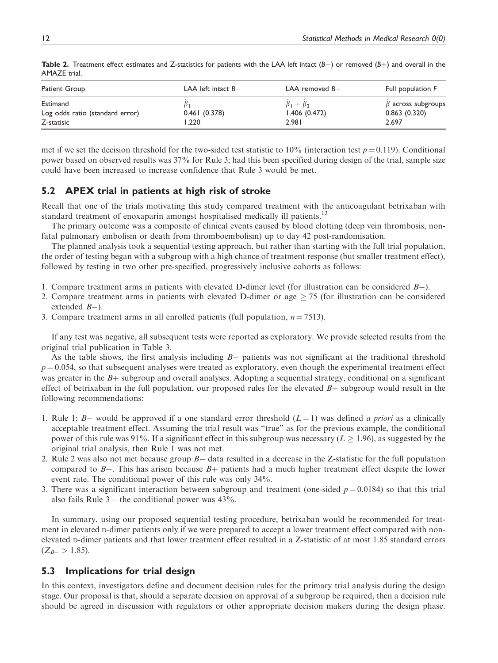| Patient Group                                             | LAA left intact $B-$  | LAA removed $B+$                             | Full population F                                 |
|-----------------------------------------------------------|-----------------------|----------------------------------------------|---------------------------------------------------|
| Estimand<br>Log odds ratio (standard error)<br>Z-statisic | 0.461(0.378)<br>1.220 | $\beta_1 + \beta_3$<br>1.406(0.472)<br>2.981 | $\beta$ across subgroups<br>0.863(0.320)<br>2.697 |

**Table 2.** Treatment effect estimates and Z-statistics for patients with the LAA left intact  $(B-)$  or removed  $(B+)$  and overall in the AMAZE trial.

met if we set the decision threshold for the two-sided test statistic to 10% (interaction test  $p = 0.119$ ). Conditional power based on observed results was 37% for Rule 3; had this been specified during design of the trial, sample size could have been increased to increase confidence that Rule 3 would be met.

# 5.2 APEX trial in patients at high risk of stroke

Recall that one of the trials motivating this study compared treatment with the anticoagulant betrixaban with standard treatment of enoxaparin amongst hospitalised medically ill patients.<sup>13</sup>

The primary outcome was a composite of clinical events caused by blood clotting (deep vein thrombosis, nonfatal pulmonary embolism or death from thromboembolism) up to day 42 post-randomisation.

The planned analysis took a sequential testing approach, but rather than starting with the full trial population, the order of testing began with a subgroup with a high chance of treatment response (but smaller treatment effect), followed by testing in two other pre-specified, progressively inclusive cohorts as follows:

- 1. Compare treatment arms in patients with elevated D-dimer level (for illustration can be considered  $B-$ ).
- 2. Compare treatment arms in patients with elevated D-dimer or age  $\geq$  75 (for illustration can be considered extended  $B-$ ).
- 3. Compare treatment arms in all enrolled patients (full population,  $n = 7513$ ).

If any test was negative, all subsequent tests were reported as exploratory. We provide selected results from the original trial publication in Table 3.

As the table shows, the first analysis including  $B-$  patients was not significant at the traditional threshold  $p = 0.054$ , so that subsequent analyses were treated as exploratory, even though the experimental treatment effect was greater in the  $B<sub>+</sub>$  subgroup and overall analyses. Adopting a sequential strategy, conditional on a significant effect of betrixaban in the full population, our proposed rules for the elevated  $B-$  subgroup would result in the following recommendations:

- 1. Rule 1:  $B-$  would be approved if a one standard error threshold  $(L=1)$  was defined *a priori* as a clinically acceptable treatment effect. Assuming the trial result was "true" as for the previous example, the conditional power of this rule was 91%. If a significant effect in this subgroup was necessary ( $L \ge 1.96$ ), as suggested by the original trial analysis, then Rule 1 was not met.
- 2. Rule 2 was also not met because group  $B-$  data resulted in a decrease in the Z-statistic for the full population compared to  $B$ +. This has arisen because  $B$ + patients had a much higher treatment effect despite the lower event rate. The conditional power of this rule was only 34%.
- 3. There was a significant interaction between subgroup and treatment (one-sided  $p = 0.0184$ ) so that this trial also fails Rule  $3$  – the conditional power was  $43\%$ .

In summary, using our proposed sequential testing procedure, betrixaban would be recommended for treatment in elevated D-dimer patients only if we were prepared to accept a lower treatment effect compared with nonelevated D-dimer patients and that lower treatment effect resulted in a Z-statistic of at most 1.85 standard errors  $(Z_{B-} > 1.85).$ 

# 5.3 Implications for trial design

In this context, investigators define and document decision rules for the primary trial analysis during the design stage. Our proposal is that, should a separate decision on approval of a subgroup be required, then a decision rule should be agreed in discussion with regulators or other appropriate decision makers during the design phase.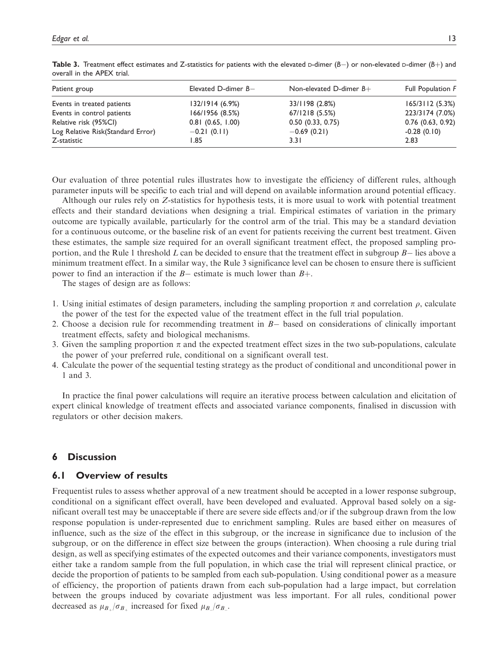| Patient group                     | Elevated D-dimer $B-$ | Non-elevated D-dimer $B+$ | Full Population F   |
|-----------------------------------|-----------------------|---------------------------|---------------------|
| Events in treated patients        | 132/1914 (6.9%)       | 33/1198 (2.8%)            | 165/3112(5.3%)      |
| Events in control patients        | 166/1956 (8.5%)       | 67/1218(5.5%)             | 223/3174 (7.0%)     |
| Relative risk (95%CI)             | $0.81$ (0.65, 1.00)   | 0.50(0.33, 0.75)          | $0.76$ (0.63, 0.92) |
| Log Relative Risk(Standard Error) | $-0.21(0.11)$         | $-0.69(0.21)$             | $-0.28(0.10)$       |
| Z-statistic                       | I.85                  | 3.31                      | 2.83                |

**Table 3.** Treatment effect estimates and Z-statistics for patients with the elevated  $D$ -dimer  $(B-)$  or non-elevated  $D$ -dimer  $(B+)$  and overall in the APEX trial.

Our evaluation of three potential rules illustrates how to investigate the efficiency of different rules, although parameter inputs will be specific to each trial and will depend on available information around potential efficacy.

Although our rules rely on Z-statistics for hypothesis tests, it is more usual to work with potential treatment effects and their standard deviations when designing a trial. Empirical estimates of variation in the primary outcome are typically available, particularly for the control arm of the trial. This may be a standard deviation for a continuous outcome, or the baseline risk of an event for patients receiving the current best treatment. Given these estimates, the sample size required for an overall significant treatment effect, the proposed sampling proportion, and the Rule 1 threshold  $L$  can be decided to ensure that the treatment effect in subgroup  $B-$  lies above a minimum treatment effect. In a similar way, the Rule 3 significance level can be chosen to ensure there is sufficient power to find an interaction if the  $B-$  estimate is much lower than  $B+$ .

The stages of design are as follows:

- 1. Using initial estimates of design parameters, including the sampling proportion  $\pi$  and correlation  $\rho$ , calculate the power of the test for the expected value of the treatment effect in the full trial population.
- 2. Choose a decision rule for recommending treatment in  $B-$  based on considerations of clinically important treatment effects, safety and biological mechanisms.
- 3. Given the sampling proportion  $\pi$  and the expected treatment effect sizes in the two sub-populations, calculate the power of your preferred rule, conditional on a significant overall test.
- 4. Calculate the power of the sequential testing strategy as the product of conditional and unconditional power in 1 and 3.

In practice the final power calculations will require an iterative process between calculation and elicitation of expert clinical knowledge of treatment effects and associated variance components, finalised in discussion with regulators or other decision makers.

## 6 Discussion

## 6.1 Overview of results

Frequentist rules to assess whether approval of a new treatment should be accepted in a lower response subgroup, conditional on a significant effect overall, have been developed and evaluated. Approval based solely on a significant overall test may be unacceptable if there are severe side effects and/or if the subgroup drawn from the low response population is under-represented due to enrichment sampling. Rules are based either on measures of influence, such as the size of the effect in this subgroup, or the increase in significance due to inclusion of the subgroup, or on the difference in effect size between the groups (interaction). When choosing a rule during trial design, as well as specifying estimates of the expected outcomes and their variance components, investigators must either take a random sample from the full population, in which case the trial will represent clinical practice, or decide the proportion of patients to be sampled from each sub-population. Using conditional power as a measure of efficiency, the proportion of patients drawn from each sub-population had a large impact, but correlation between the groups induced by covariate adjustment was less important. For all rules, conditional power decreased as  $\mu_{B_+}/\sigma_{B_+}$  increased for fixed  $\mu_{B_-}/\sigma_{B_-}$ .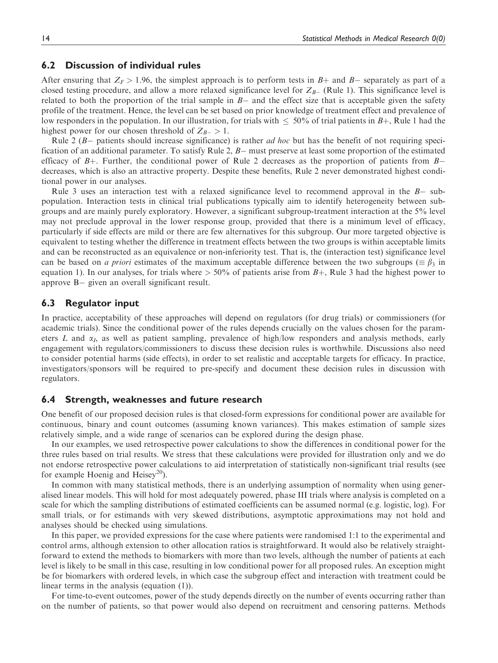## 6.2 Discussion of individual rules

After ensuring that  $Z_F > 1.96$ , the simplest approach is to perform tests in  $B+$  and  $B-$  separately as part of a closed testing procedure, and allow a more relaxed significance level for  $Z_{B-}$  (Rule 1). This significance level is related to both the proportion of the trial sample in  $B-$  and the effect size that is acceptable given the safety profile of the treatment. Hence, the level can be set based on prior knowledge of treatment effect and prevalence of low responders in the population. In our illustration, for trials with  $\leq 50\%$  of trial patients in B+, Rule 1 had the highest power for our chosen threshold of  $Z_{B-} > 1$ .

Rule  $2 (B-$  patients should increase significance) is rather *ad hoc* but has the benefit of not requiring specification of an additional parameter. To satisfy Rule 2, B- must preserve at least some proportion of the estimated efficacy of  $B$ +. Further, the conditional power of Rule 2 decreases as the proportion of patients from  $B$ decreases, which is also an attractive property. Despite these benefits, Rule 2 never demonstrated highest conditional power in our analyses.

Rule 3 uses an interaction test with a relaxed significance level to recommend approval in the  $B-$  subpopulation. Interaction tests in clinical trial publications typically aim to identify heterogeneity between subgroups and are mainly purely exploratory. However, a significant subgroup-treatment interaction at the 5% level may not preclude approval in the lower response group, provided that there is a minimum level of efficacy, particularly if side effects are mild or there are few alternatives for this subgroup. Our more targeted objective is equivalent to testing whether the difference in treatment effects between the two groups is within acceptable limits and can be reconstructed as an equivalence or non-inferiority test. That is, the (interaction test) significance level can be based on a priori estimates of the maximum acceptable difference between the two subgroups ( $\equiv \beta_3$  in equation 1). In our analyses, for trials where  $> 50\%$  of patients arise from B+, Rule 3 had the highest power to approve B- given an overall significant result.

## 6.3 Regulator input

In practice, acceptability of these approaches will depend on regulators (for drug trials) or commissioners (for academic trials). Since the conditional power of the rules depends crucially on the values chosen for the parameters L and  $\alpha_I$ , as well as patient sampling, prevalence of high/low responders and analysis methods, early engagement with regulators/commissioners to discuss these decision rules is worthwhile. Discussions also need to consider potential harms (side effects), in order to set realistic and acceptable targets for efficacy. In practice, investigators/sponsors will be required to pre-specify and document these decision rules in discussion with regulators.

## 6.4 Strength, weaknesses and future research

One benefit of our proposed decision rules is that closed-form expressions for conditional power are available for continuous, binary and count outcomes (assuming known variances). This makes estimation of sample sizes relatively simple, and a wide range of scenarios can be explored during the design phase.

In our examples, we used retrospective power calculations to show the differences in conditional power for the three rules based on trial results. We stress that these calculations were provided for illustration only and we do not endorse retrospective power calculations to aid interpretation of statistically non-significant trial results (see for example Hoenig and Heisey<sup>20</sup>).

In common with many statistical methods, there is an underlying assumption of normality when using generalised linear models. This will hold for most adequately powered, phase III trials where analysis is completed on a scale for which the sampling distributions of estimated coefficients can be assumed normal (e.g. logistic, log). For small trials, or for estimands with very skewed distributions, asymptotic approximations may not hold and analyses should be checked using simulations.

In this paper, we provided expressions for the case where patients were randomised 1:1 to the experimental and control arms, although extension to other allocation ratios is straightforward. It would also be relatively straightforward to extend the methods to biomarkers with more than two levels, although the number of patients at each level is likely to be small in this case, resulting in low conditional power for all proposed rules. An exception might be for biomarkers with ordered levels, in which case the subgroup effect and interaction with treatment could be linear terms in the analysis (equation (1)).

For time-to-event outcomes, power of the study depends directly on the number of events occurring rather than on the number of patients, so that power would also depend on recruitment and censoring patterns. Methods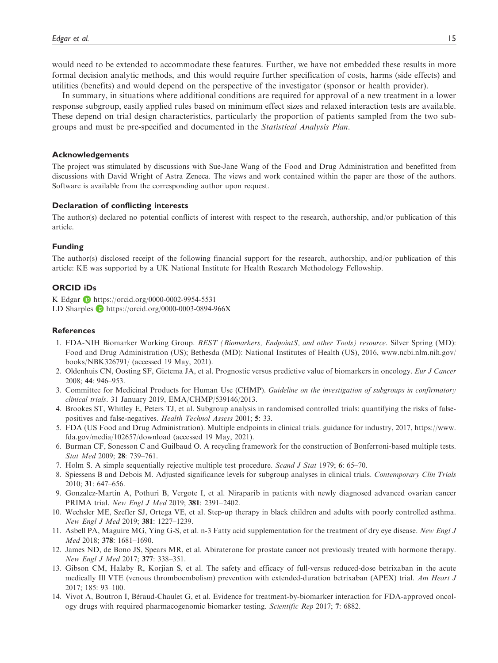would need to be extended to accommodate these features. Further, we have not embedded these results in more formal decision analytic methods, and this would require further specification of costs, harms (side effects) and utilities (benefits) and would depend on the perspective of the investigator (sponsor or health provider).

In summary, in situations where additional conditions are required for approval of a new treatment in a lower response subgroup, easily applied rules based on minimum effect sizes and relaxed interaction tests are available. These depend on trial design characteristics, particularly the proportion of patients sampled from the two subgroups and must be pre-specified and documented in the Statistical Analysis Plan.

#### Acknowledgements

The project was stimulated by discussions with Sue-Jane Wang of the Food and Drug Administration and benefitted from discussions with David Wright of Astra Zeneca. The views and work contained within the paper are those of the authors. Software is available from the corresponding author upon request.

#### Declaration of conflicting interests

The author(s) declared no potential conflicts of interest with respect to the research, authorship, and/or publication of this article.

#### Funding

The author(s) disclosed receipt of the following financial support for the research, authorship, and/or publication of this article: KE was supported by a UK National Institute for Health Research Methodology Fellowship.

#### ORCID iDs

K Edgar **b** <https://orcid.org/0000-0002-9954-5531> LD Sharples  $\Box$  <https://orcid.org/0000-0003-0894-966X>

#### **References**

- 1. FDA-NIH Biomarker Working Group. BEST (Biomarkers, EndpointS, and other Tools) resource. Silver Spring (MD): Food and Drug Administration (US); Bethesda (MD): National Institutes of Health (US), 2016, [www.ncbi.nlm.nih.gov/](http://www.ncbi.nlm.nih.gov/books/NBK326791/) [books/NBK326791/](http://www.ncbi.nlm.nih.gov/books/NBK326791/) (accessed 19 May, 2021).
- 2. Oldenhuis CN, Oosting SF, Gietema JA, et al. Prognostic versus predictive value of biomarkers in oncology. Eur J Cancer 2008; 44: 946–953.
- 3. Committee for Medicinal Products for Human Use (CHMP). Guideline on the investigation of subgroups in confirmatory clinical trials. 31 January 2019, EMA/CHMP/539146/2013.
- 4. Brookes ST, Whitley E, Peters TJ, et al. Subgroup analysis in randomised controlled trials: quantifying the risks of falsepositives and false-negatives. Health Technol Assess 2001; 5: 33.
- 5. FDA (US Food and Drug Administration). Multiple endpoints in clinical trials. guidance for industry, 2017, [https://www.](https://www.fda.gov/media/102657/download) [fda.gov/media/102657/download](https://www.fda.gov/media/102657/download) (accessed 19 May, 2021).
- 6. Burman CF, Sonesson C and Guilbaud O. A recycling framework for the construction of Bonferroni-based multiple tests. Stat Med 2009; 28: 739–761.
- 7. Holm S. A simple sequentially rejective multiple test procedure. Scand J Stat 1979; 6: 65–70.
- 8. Spiessens B and Debois M. Adjusted significance levels for subgroup analyses in clinical trials. Contemporary Clin Trials 2010; 31: 647–656.
- 9. Gonzalez-Martin A, Pothuri B, Vergote I, et al. Niraparib in patients with newly diagnosed advanced ovarian cancer PRIMA trial. New Engl J Med 2019; 381: 2391–2402.
- 10. Wechsler ME, Szefler SJ, Ortega VE, et al. Step-up therapy in black children and adults with poorly controlled asthma. New Engl J Med 2019; 381: 1227–1239.
- 11. Asbell PA, Maguire MG, Ying G-S, et al. n-3 Fatty acid supplementation for the treatment of dry eye disease. New Engl J Med 2018; 378: 1681–1690.
- 12. James ND, de Bono JS, Spears MR, et al. Abiraterone for prostate cancer not previously treated with hormone therapy. New Engl J Med 2017; 377: 338–351.
- 13. Gibson CM, Halaby R, Korjian S, et al. The safety and efficacy of full-versus reduced-dose betrixaban in the acute medically Ill VTE (venous thromboembolism) prevention with extended-duration betrixaban (APEX) trial. Am Heart J 2017; 185: 93–100.
- 14. Vivot A, Boutron I, Béraud-Chaulet G, et al. Evidence for treatment-by-biomarker interaction for FDA-approved oncology drugs with required pharmacogenomic biomarker testing. Scientific Rep 2017; 7: 6882.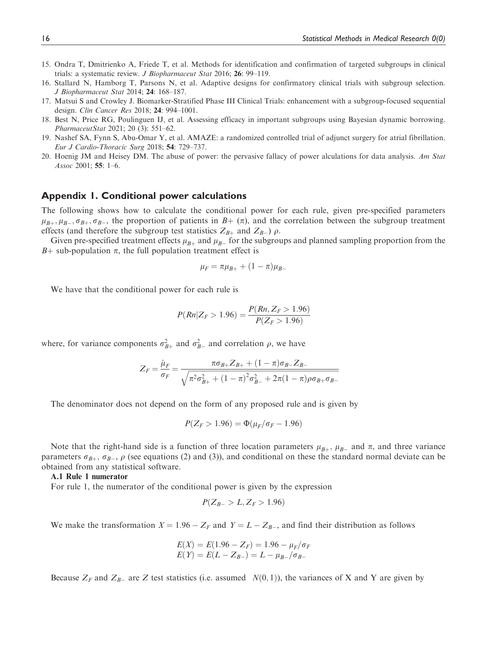- 15. Ondra T, Dmitrienko A, Friede T, et al. Methods for identification and confirmation of targeted subgroups in clinical trials: a systematic review. J Biopharmaceut Stat 2016; 26: 99–119.
- 16. Stallard N, Hamborg T, Parsons N, et al. Adaptive designs for confirmatory clinical trials with subgroup selection. J Biopharmaceut Stat 2014; 24: 168–187.
- 17. Matsui S and Crowley J. Biomarker-Stratified Phase III Clinical Trials: enhancement with a subgroup-focused sequential design. Clin Cancer Res 2018; 24: 994–1001.
- 18. Best N, Price RG, Poulinguen IJ, et al. Assessing efficacy in important subgroups using Bayesian dynamic borrowing. PharmaceutStat 2021; 20 (3): 551–62.
- 19. Nashef SA, Fynn S, Abu-Omar Y, et al. AMAZE: a randomized controlled trial of adjunct surgery for atrial fibrillation. Eur J Cardio-Thoracic Surg 2018; 54: 729–737.
- 20. Hoenig JM and Heisey DM. The abuse of power: the pervasive fallacy of power alculations for data analysis. Am Stat Assoc 2001; 55: 1–6.

## Appendix 1. Conditional power calculations

The following shows how to calculate the conditional power for each rule, given pre-specified parameters  $\mu_{B_+}, \mu_{B_-}, \sigma_{B_+}, \sigma_{B_-}$ , the proportion of patients in  $B_+$  ( $\pi$ ), and the correlation between the subgroup treatment effects (and therefore the subgroup test statistics  $Z_{B_+}$  and  $Z_{B_+}$ ) a effects (and therefore the subgroup test statistics  $Z_{B+}$  and  $Z_{B-}$ )  $\rho$ .<br>Given pre-specified treatment effects  $\mu_{\sigma}$  and  $\mu_{\sigma}$  for the subgroup

Given pre-specified treatment effects  $\mu_{B+}$  and  $\mu_{B-}$  for the subgroups and planned sampling proportion from the sub-nopulation  $\pi$  the full population treatment effect is  $B$ + sub-population  $\pi$ , the full population treatment effect is

$$
\mu_F = \pi \mu_{B+} + (1 - \pi) \mu_{B-}
$$

We have that the conditional power for each rule is

$$
P(Rn|Z_F > 1.96) = \frac{P(Rn, Z_F > 1.96)}{P(Z_F > 1.96)}
$$

where, for variance components  $\sigma_{B+}^2$  and  $\sigma_{B-}^2$  and correlation  $\rho$ , we have

$$
Z_F = \frac{\hat{\mu}_F}{\sigma_F} = \frac{\pi \sigma_{B+} Z_{B+} + (1 - \pi) \sigma_{B-} Z_{B-}}{\sqrt{\pi^2 \sigma_{B+}^2 + (1 - \pi)^2 \sigma_{B-}^2 + 2\pi (1 - \pi) \rho \sigma_{B+} \sigma_{B-}}}
$$

The denominator does not depend on the form of any proposed rule and is given by

$$
P(Z_F > 1.96) = \Phi(\mu_F/\sigma_F - 1.96)
$$

Note that the right-hand side is a function of three location parameters  $\mu_{B+}$ ,  $\mu_{B-}$  and  $\pi$ , and three variance<br>rameters  $\sigma_{B}$ .  $\sigma_{B}$ , a (see equations (2) and (3)), and conditional on these the standard norm parameters  $\sigma_{B+}$ ,  $\sigma_{B-}$ ,  $\rho$  (see equations (2) and (3)), and conditional on these the standard normal deviate can be<br>obtained from any statistical software obtained from any statistical software.

A.1 Rule 1 numerator

For rule 1, the numerator of the conditional power is given by the expression

$$
P(Z_{B-}>L,Z_F>1.96)
$$

We make the transformation  $X = 1.96 - Z_F$  and  $Y = L - Z_{B-}$ , and find their distribution as follows

$$
E(X) = E(1.96 - Z_F) = 1.96 - \mu_F/\sigma_F
$$
  

$$
E(Y) = E(L - Z_{B-}) = L - \mu_{B-}/\sigma_{B-}
$$

Because  $Z_F$  and  $Z_{B-}$  are Z test statistics (i.e. assumed  $N(0, 1)$ ), the variances of X and Y are given by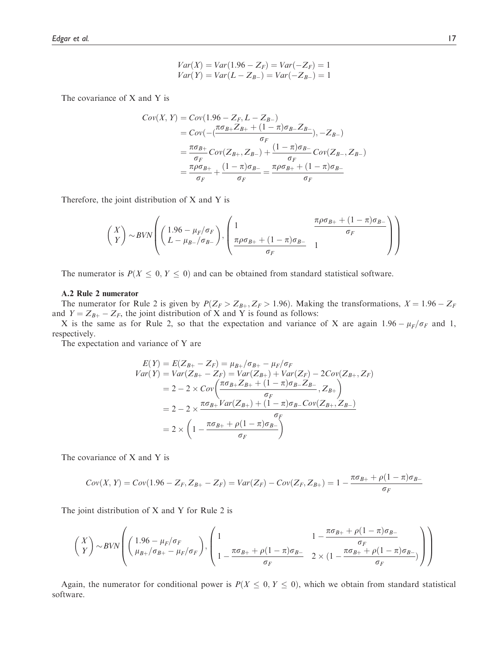$$
Var(X) = Var(1.96 - Z_F) = Var(-Z_F) = 1
$$
  
 
$$
Var(Y) = Var(L - Z_{B-}) = Var(-Z_{B-}) = 1
$$

The covariance of X and Y is

$$
Cov(X, Y) = Cov(1.96 - Z_F, L - Z_{B-})
$$
  
=  $Cov(-\frac{\pi \sigma_{B+} Z_{B+} + (1 - \pi) \sigma_{B-} Z_{B-}}{\sigma_F}), -Z_{B-})$   
=  $\frac{\pi \sigma_{B+}}{\sigma_F} Cov(Z_{B+}, Z_{B-}) + \frac{(1 - \pi) \sigma_{B-}}{\sigma_F} Cov(Z_{B-}, Z_{B-})$   
=  $\frac{\pi \rho \sigma_{B+}}{\sigma_F} + \frac{(1 - \pi) \sigma_{B-}}{\sigma_F} = \frac{\pi \rho \sigma_{B+} + (1 - \pi) \sigma_{B-}}{\sigma_F}$ 

Therefore, the joint distribution of X and Y is

$$
\begin{pmatrix} X \\ Y \end{pmatrix} \sim BVN \left( \begin{pmatrix} 1.96 - \mu_F/\sigma_F \\ L - \mu_{B-}/\sigma_{B-} \end{pmatrix}, \begin{pmatrix} 1 & \frac{\pi \rho \sigma_{B+} + (1 - \pi)\sigma_{B-}}{\sigma_F} \\ \frac{\pi \rho \sigma_{B+} + (1 - \pi)\sigma_{B-}}{\sigma_F} & 1 \end{pmatrix} \right)
$$

The numerator is  $P(X \le 0, Y \le 0)$  and can be obtained from standard statistical software.

#### A.2 Rule 2 numerator

The numerator for Rule 2 is given by  $P(Z_F > Z_{B+}, Z_F > 1.96)$ . Making the transformations,  $X = 1.96 - Z_F$ and  $Y = Z_{B+} - Z_F$ , the joint distribution of X and Y is found as follows:

X is the same as for Rule 2, so that the expectation and variance of X are again  $1.96 - \mu_F/\sigma_F$  and 1, nectively respectively.

The expectation and variance of Y are

$$
E(Y) = E(Z_{B+} - Z_F) = \mu_{B+}/\sigma_{B+} - \mu_F/\sigma_F
$$
  
\n
$$
Var(Y) = Var(Z_{B+} - Z_F) = Var(Z_{B+}) + Var(Z_F) - 2Cov(Z_{B+}, Z_F)
$$
  
\n
$$
= 2 - 2 \times Cov\left(\frac{\pi \sigma_{B+} Z_{B+} + (1 - \pi) \sigma_{B-} Z_{B-}}{\sigma_F}, Z_{B+}\right)
$$
  
\n
$$
= 2 - 2 \times \frac{\pi \sigma_{B+} Var(Z_{B+}) + (1 - \pi) \sigma_{B-} Cov(Z_{B+}, Z_{B-})}{\sigma_F}
$$
  
\n
$$
= 2 \times \left(1 - \frac{\pi \sigma_{B+} + \rho(1 - \pi) \sigma_{B-}}{\sigma_F}\right)
$$

The covariance of X and Y is

$$
Cov(X, Y) = Cov(1.96 - Z_F, Z_{B+} - Z_F) = Var(Z_F) - Cov(Z_F, Z_{B+}) = 1 - \frac{\pi \sigma_{B+} + \rho(1 - \pi)\sigma_{B-}}{\sigma_F}
$$

The joint distribution of X and Y for Rule 2 is

$$
\begin{pmatrix} X \\ Y \end{pmatrix} \sim \text{BVN} \left( \begin{pmatrix} 1.96 - \mu_F/\sigma_F \\ \mu_{B+}/\sigma_{B+} - \mu_F/\sigma_F \end{pmatrix}, \begin{pmatrix} 1 & 1 - \frac{\pi \sigma_{B+} + \rho (1 - \pi) \sigma_{B-}}{\sigma_F} \\ 1 - \frac{\pi \sigma_{B+} + \rho (1 - \pi) \sigma_{B-}}{\sigma_F} & 2 \times (1 - \frac{\pi \sigma_{B+} + \rho (1 - \pi) \sigma_{B-}}{\sigma_F}) \end{pmatrix} \right)
$$

Again, the numerator for conditional power is  $P(X \le 0, Y \le 0)$ , which we obtain from standard statistical software.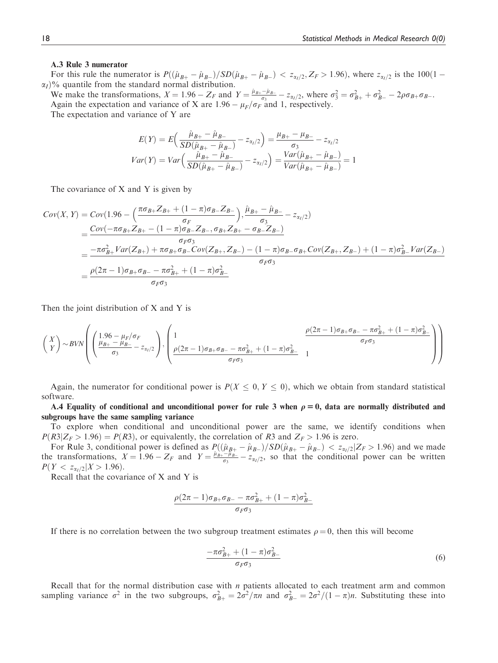#### A.3 Rule 3 numerator

For this rule the numerator is  $P((\hat{\mu}_{B+} - \hat{\mu}_{B-})/SD(\hat{\mu}_{B+} - \hat{\mu}_{B-}) < z_{\alpha/2}, Z_F > 1.96)$ , where  $z_{\alpha/2}$  is the 100(1 –  $\alpha$ )  $\alpha_I$ % quantile from the standard normal distribution.

We make the transformations,  $X = 1.96 - Z_F$  and  $Y = \frac{\hat{\mu}_{B+} - \hat{\mu}_{B-}}{\sigma_s^2} - z_{\alpha/2}$ , where  $\sigma_3^2 = \sigma_{B+}^2 + \sigma_{B-}^2 - 2\rho\sigma_{B+}\sigma_{B-}$ .<br>Again the expectation and variance of X are 1.96 –  $\mu_B/\sigma_B$  and 1 respectively Again the expectation and variance of X are  $1.96 - \mu_F/\sigma_F$  and 1, respectively.<br>The expectation and variance of V are

The expectation and variance of Y are

$$
E(Y) = E\left(\frac{\hat{\mu}_{B+} - \hat{\mu}_{B-}}{SD(\hat{\mu}_{B+} - \hat{\mu}_{B-})} - z_{\alpha_1/2}\right) = \frac{\mu_{B+} - \mu_{B-}}{\sigma_3} - z_{\alpha_1/2}
$$

$$
Var(Y) = Var\left(\frac{\hat{\mu}_{B+} - \hat{\mu}_{B-}}{SD(\hat{\mu}_{B+} - \hat{\mu}_{B-})} - z_{\alpha_1/2}\right) = \frac{Var(\hat{\mu}_{B+} - \hat{\mu}_{B-})}{Var(\hat{\mu}_{B+} - \hat{\mu}_{B-})} = 1
$$

The covariance of X and Y is given by

$$
Cov(X, Y) = Cov(1.96 - \left(\frac{\pi \sigma_{B+} Z_{B+} + (1 - \pi) \sigma_{B-} Z_{B-}}{\sigma_F}\right), \frac{\hat{\mu}_{B+} - \hat{\mu}_{B-}}{\sigma_3} - z_{\alpha/2})
$$
  
= 
$$
\frac{Cov(-\pi \sigma_{B+} Z_{B+} - (1 - \pi) \sigma_{B-} Z_{B-}, \sigma_{B+} Z_{B+} - \sigma_{B-} Z_{B-})}{\sigma_F \sigma_3}
$$
  
= 
$$
\frac{-\pi \sigma_{B+}^2 Var(Z_{B+}) + \pi \sigma_{B+} \sigma_{B-} Cov(Z_{B+}, Z_{B-}) - (1 - \pi) \sigma_{B-} \sigma_{B+} Cov(Z_{B+}, Z_{B-}) + (1 - \pi) \sigma_{B-}^2 Var(Z_{B-})}{\sigma_F \sigma_3}
$$
  
= 
$$
\frac{\rho(2\pi - 1) \sigma_{B+} \sigma_{B-} - \pi \sigma_{B+}^2 + (1 - \pi) \sigma_{B-}^2}{\sigma_F \sigma_3}
$$

Then the joint distribution of X and Y is

$$
\begin{pmatrix} X \\ Y \end{pmatrix} \sim BVN \left( \begin{pmatrix} 1.96 - \mu_F/\sigma_F \\ \frac{\mu_{B+} - \mu_{B-}}{\sigma_3} - z_{\alpha_1/2} \end{pmatrix}, \begin{pmatrix} 1 & \frac{\rho(2\pi - 1)\sigma_{B+}\sigma_{B-} - \pi\sigma_{B+}^2 + (1 - \pi)\sigma_{B-}^2}{\sigma_F\sigma_3} \\ \frac{\rho(2\pi - 1)\sigma_{B+}\sigma_{B-} - \pi\sigma_{B+}^2 + (1 - \pi)\sigma_{B-}^2}{\sigma_F\sigma_3} \end{pmatrix} \right)
$$

Again, the numerator for conditional power is  $P(X \leq 0, Y \leq 0)$ , which we obtain from standard statistical software.

A.4 Equality of conditional and unconditional power for rule 3 when  $\rho = 0$ , data are normally distributed and subgroups have the same sampling variance

To explore when conditional and unconditional power are the same, we identify conditions when  $P(R3|Z_F > 1.96) = P(R3)$ , or equivalently, the correlation of R3 and  $Z_F > 1.96$  is zero.

For Rule 3, conditional power is defined as  $P((\hat{\mu}_{B+} - \hat{\mu}_{B-})/SD(\hat{\mu}_{B+} - \hat{\mu}_{B-}) < z_{\alpha/2}|Z_F > 1.96)$  and we made<br>transformations  $Y - 1.96 = Z_F$  and  $Y - \frac{\hat{\mu}_{B+} - \mu_{B-}}{Z_{\alpha/2}} = z_{\alpha/2}$  so that the conditional power can be the transformations,  $X = 1.96 - Z_F$  and  $Y = \frac{\hat{\mu}_{B+} - \hat{\mu}_{B-}}{\sigma_3} - z_{\alpha_1/2}$ , so that the conditional power can be written  $P(Y \le z, \alpha | Y > 1.96)$  $P(Y < z_{\alpha_1/2}|X > 1.96)$ .

Recall that the covariance of X and Y is

$$
\frac{\rho(2\pi-1)\sigma_{B+}\sigma_{B-}-\pi\sigma_{B+}^2+(1-\pi)\sigma_{B-}^2}{\sigma_F\sigma_3}
$$

If there is no correlation between the two subgroup treatment estimates  $\rho = 0$ , then this will become

$$
\frac{-\pi\sigma_{B+}^2 + (1-\pi)\sigma_{B-}^2}{\sigma_F\sigma_3} \tag{6}
$$

Recall that for the normal distribution case with  $n$  patients allocated to each treatment arm and common sampling variance  $\sigma^2$  in the two subgroups,  $\sigma_{B+}^2 = 2\sigma^2/\pi n$  and  $\sigma_{B-}^2 = 2\sigma^2/(1-\pi)n$ . Substituting these into